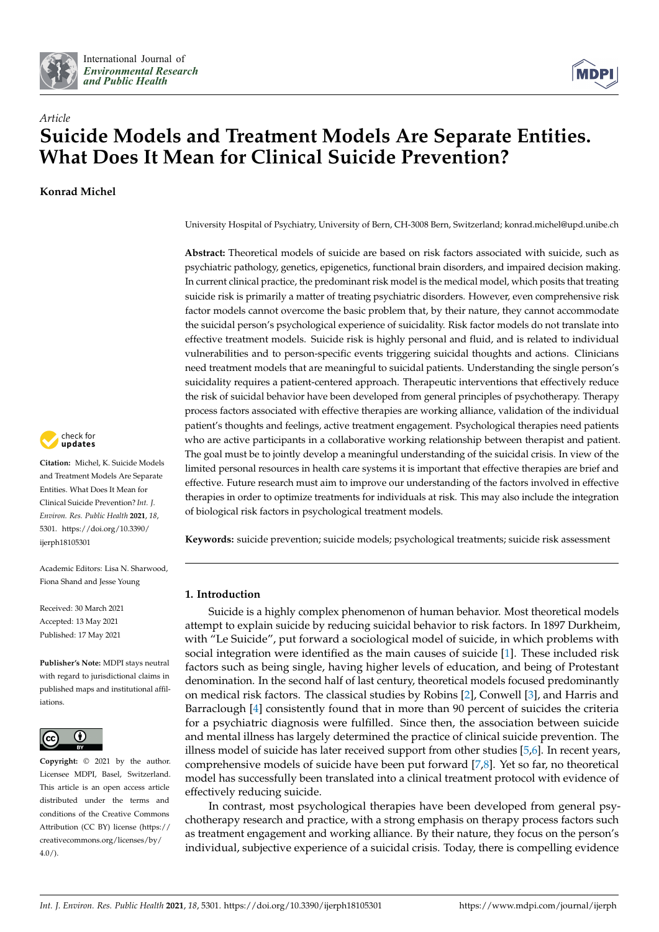



# *Article* **Suicide Models and Treatment Models Are Separate Entities. What Does It Mean for Clinical Suicide Prevention?**

**Konrad Michel**



**Citation:** Michel, K. Suicide Models and Treatment Models Are Separate Entities. What Does It Mean for Clinical Suicide Prevention? *Int. J. Environ. Res. Public Health* **2021**, *18*, 5301. [https://doi.org/10.3390/](https://doi.org/10.3390/ijerph18105301) [ijerph18105301](https://doi.org/10.3390/ijerph18105301)

Academic Editors: Lisa N. Sharwood, Fiona Shand and Jesse Young

Received: 30 March 2021 Accepted: 13 May 2021 Published: 17 May 2021

**Publisher's Note:** MDPI stays neutral with regard to jurisdictional claims in published maps and institutional affiliations.



**Copyright:** © 2021 by the author. Licensee MDPI, Basel, Switzerland. This article is an open access article distributed under the terms and conditions of the Creative Commons Attribution (CC BY) license (https:/[/](https://creativecommons.org/licenses/by/4.0/) [creativecommons.org/licenses/by/](https://creativecommons.org/licenses/by/4.0/)  $4.0/$ ).

University Hospital of Psychiatry, University of Bern, CH-3008 Bern, Switzerland; konrad.michel@upd.unibe.ch

**Abstract:** Theoretical models of suicide are based on risk factors associated with suicide, such as psychiatric pathology, genetics, epigenetics, functional brain disorders, and impaired decision making. In current clinical practice, the predominant risk model is the medical model, which posits that treating suicide risk is primarily a matter of treating psychiatric disorders. However, even comprehensive risk factor models cannot overcome the basic problem that, by their nature, they cannot accommodate the suicidal person's psychological experience of suicidality. Risk factor models do not translate into effective treatment models. Suicide risk is highly personal and fluid, and is related to individual vulnerabilities and to person-specific events triggering suicidal thoughts and actions. Clinicians need treatment models that are meaningful to suicidal patients. Understanding the single person's suicidality requires a patient-centered approach. Therapeutic interventions that effectively reduce the risk of suicidal behavior have been developed from general principles of psychotherapy. Therapy process factors associated with effective therapies are working alliance, validation of the individual patient's thoughts and feelings, active treatment engagement. Psychological therapies need patients who are active participants in a collaborative working relationship between therapist and patient. The goal must be to jointly develop a meaningful understanding of the suicidal crisis. In view of the limited personal resources in health care systems it is important that effective therapies are brief and effective. Future research must aim to improve our understanding of the factors involved in effective therapies in order to optimize treatments for individuals at risk. This may also include the integration of biological risk factors in psychological treatment models.

**Keywords:** suicide prevention; suicide models; psychological treatments; suicide risk assessment

## **1. Introduction**

Suicide is a highly complex phenomenon of human behavior. Most theoretical models attempt to explain suicide by reducing suicidal behavior to risk factors. In 1897 Durkheim, with "Le Suicide", put forward a sociological model of suicide, in which problems with social integration were identified as the main causes of suicide [\[1\]](#page-5-0). These included risk factors such as being single, having higher levels of education, and being of Protestant denomination. In the second half of last century, theoretical models focused predominantly on medical risk factors. The classical studies by Robins [\[2\]](#page-5-1), Conwell [\[3\]](#page-5-2), and Harris and Barraclough [\[4\]](#page-5-3) consistently found that in more than 90 percent of suicides the criteria for a psychiatric diagnosis were fulfilled. Since then, the association between suicide and mental illness has largely determined the practice of clinical suicide prevention. The illness model of suicide has later received support from other studies [\[5,](#page-5-4)[6\]](#page-5-5). In recent years, comprehensive models of suicide have been put forward [\[7](#page-5-6)[,8\]](#page-5-7). Yet so far, no theoretical model has successfully been translated into a clinical treatment protocol with evidence of effectively reducing suicide.

In contrast, most psychological therapies have been developed from general psychotherapy research and practice, with a strong emphasis on therapy process factors such as treatment engagement and working alliance. By their nature, they focus on the person's individual, subjective experience of a suicidal crisis. Today, there is compelling evidence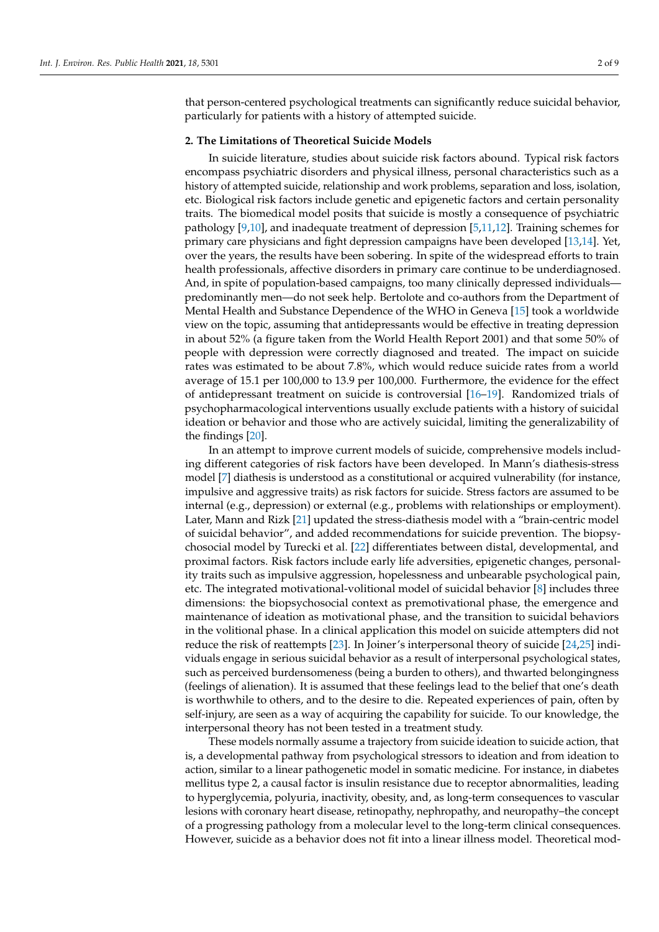that person-centered psychological treatments can significantly reduce suicidal behavior, particularly for patients with a history of attempted suicide.

#### **2. The Limitations of Theoretical Suicide Models**

In suicide literature, studies about suicide risk factors abound. Typical risk factors encompass psychiatric disorders and physical illness, personal characteristics such as a history of attempted suicide, relationship and work problems, separation and loss, isolation, etc. Biological risk factors include genetic and epigenetic factors and certain personality traits. The biomedical model posits that suicide is mostly a consequence of psychiatric pathology [\[9](#page-5-8)[,10\]](#page-5-9), and inadequate treatment of depression [\[5,](#page-5-4)[11,](#page-5-10)[12\]](#page-5-11). Training schemes for primary care physicians and fight depression campaigns have been developed [\[13,](#page-5-12)[14\]](#page-5-13). Yet, over the years, the results have been sobering. In spite of the widespread efforts to train health professionals, affective disorders in primary care continue to be underdiagnosed. And, in spite of population-based campaigns, too many clinically depressed individuals predominantly men—do not seek help. Bertolote and co-authors from the Department of Mental Health and Substance Dependence of the WHO in Geneva [\[15\]](#page-5-14) took a worldwide view on the topic, assuming that antidepressants would be effective in treating depression in about 52% (a figure taken from the World Health Report 2001) and that some 50% of people with depression were correctly diagnosed and treated. The impact on suicide rates was estimated to be about 7.8%, which would reduce suicide rates from a world average of 15.1 per 100,000 to 13.9 per 100,000. Furthermore, the evidence for the effect of antidepressant treatment on suicide is controversial [\[16–](#page-5-15)[19\]](#page-5-16). Randomized trials of psychopharmacological interventions usually exclude patients with a history of suicidal ideation or behavior and those who are actively suicidal, limiting the generalizability of the findings [\[20\]](#page-5-17).

In an attempt to improve current models of suicide, comprehensive models including different categories of risk factors have been developed. In Mann's diathesis-stress model [\[7\]](#page-5-6) diathesis is understood as a constitutional or acquired vulnerability (for instance, impulsive and aggressive traits) as risk factors for suicide. Stress factors are assumed to be internal (e.g., depression) or external (e.g., problems with relationships or employment). Later, Mann and Rizk [\[21\]](#page-6-0) updated the stress-diathesis model with a "brain-centric model of suicidal behavior", and added recommendations for suicide prevention. The biopsychosocial model by Turecki et al. [\[22\]](#page-6-1) differentiates between distal, developmental, and proximal factors. Risk factors include early life adversities, epigenetic changes, personality traits such as impulsive aggression, hopelessness and unbearable psychological pain, etc. The integrated motivational-volitional model of suicidal behavior [\[8\]](#page-5-7) includes three dimensions: the biopsychosocial context as premotivational phase, the emergence and maintenance of ideation as motivational phase, and the transition to suicidal behaviors in the volitional phase. In a clinical application this model on suicide attempters did not reduce the risk of reattempts [\[23\]](#page-6-2). In Joiner's interpersonal theory of suicide [\[24](#page-6-3)[,25\]](#page-6-4) individuals engage in serious suicidal behavior as a result of interpersonal psychological states, such as perceived burdensomeness (being a burden to others), and thwarted belongingness (feelings of alienation). It is assumed that these feelings lead to the belief that one's death is worthwhile to others, and to the desire to die. Repeated experiences of pain, often by self-injury, are seen as a way of acquiring the capability for suicide. To our knowledge, the interpersonal theory has not been tested in a treatment study.

These models normally assume a trajectory from suicide ideation to suicide action, that is, a developmental pathway from psychological stressors to ideation and from ideation to action, similar to a linear pathogenetic model in somatic medicine. For instance, in diabetes mellitus type 2, a causal factor is insulin resistance due to receptor abnormalities, leading to hyperglycemia, polyuria, inactivity, obesity, and, as long-term consequences to vascular lesions with coronary heart disease, retinopathy, nephropathy, and neuropathy–the concept of a progressing pathology from a molecular level to the long-term clinical consequences. However, suicide as a behavior does not fit into a linear illness model. Theoretical mod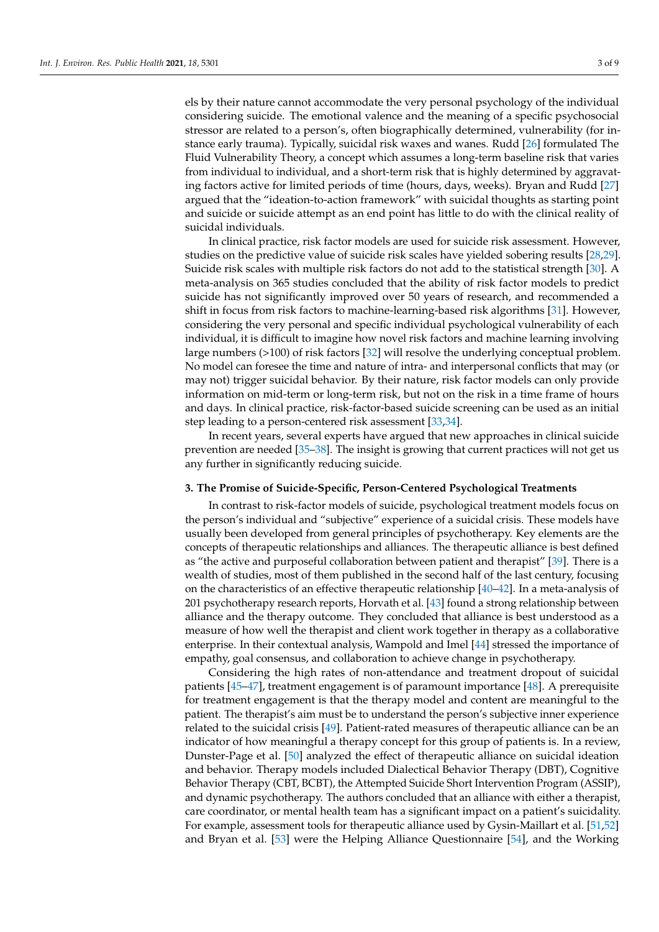els by their nature cannot accommodate the very personal psychology of the individual considering suicide. The emotional valence and the meaning of a specific psychosocial stressor are related to a person's, often biographically determined, vulnerability (for instance early trauma). Typically, suicidal risk waxes and wanes. Rudd [\[26\]](#page-6-5) formulated The Fluid Vulnerability Theory, a concept which assumes a long-term baseline risk that varies from individual to individual, and a short-term risk that is highly determined by aggravating factors active for limited periods of time (hours, days, weeks). Bryan and Rudd [\[27\]](#page-6-6) argued that the "ideation-to-action framework" with suicidal thoughts as starting point and suicide or suicide attempt as an end point has little to do with the clinical reality of suicidal individuals.

In clinical practice, risk factor models are used for suicide risk assessment. However, studies on the predictive value of suicide risk scales have yielded sobering results [\[28,](#page-6-7)[29\]](#page-6-8). Suicide risk scales with multiple risk factors do not add to the statistical strength [\[30\]](#page-6-9). A meta-analysis on 365 studies concluded that the ability of risk factor models to predict suicide has not significantly improved over 50 years of research, and recommended a shift in focus from risk factors to machine-learning-based risk algorithms [\[31\]](#page-6-10). However, considering the very personal and specific individual psychological vulnerability of each individual, it is difficult to imagine how novel risk factors and machine learning involving large numbers (>100) of risk factors [\[32\]](#page-6-11) will resolve the underlying conceptual problem. No model can foresee the time and nature of intra- and interpersonal conflicts that may (or may not) trigger suicidal behavior. By their nature, risk factor models can only provide information on mid-term or long-term risk, but not on the risk in a time frame of hours and days. In clinical practice, risk-factor-based suicide screening can be used as an initial step leading to a person-centered risk assessment [\[33](#page-6-12)[,34\]](#page-6-13).

In recent years, several experts have argued that new approaches in clinical suicide prevention are needed [\[35–](#page-6-14)[38\]](#page-6-15). The insight is growing that current practices will not get us any further in significantly reducing suicide.

#### **3. The Promise of Suicide-Specific, Person-Centered Psychological Treatments**

In contrast to risk-factor models of suicide, psychological treatment models focus on the person's individual and "subjective" experience of a suicidal crisis. These models have usually been developed from general principles of psychotherapy. Key elements are the concepts of therapeutic relationships and alliances. The therapeutic alliance is best defined as "the active and purposeful collaboration between patient and therapist" [\[39\]](#page-6-16). There is a wealth of studies, most of them published in the second half of the last century, focusing on the characteristics of an effective therapeutic relationship [\[40](#page-6-17)[–42\]](#page-6-18). In a meta-analysis of 201 psychotherapy research reports, Horvath et al. [\[43\]](#page-6-19) found a strong relationship between alliance and the therapy outcome. They concluded that alliance is best understood as a measure of how well the therapist and client work together in therapy as a collaborative enterprise. In their contextual analysis, Wampold and Imel [\[44\]](#page-6-20) stressed the importance of empathy, goal consensus, and collaboration to achieve change in psychotherapy.

Considering the high rates of non-attendance and treatment dropout of suicidal patients [\[45–](#page-6-21)[47\]](#page-6-22), treatment engagement is of paramount importance [\[48\]](#page-6-23). A prerequisite for treatment engagement is that the therapy model and content are meaningful to the patient. The therapist's aim must be to understand the person's subjective inner experience related to the suicidal crisis [\[49\]](#page-6-24). Patient-rated measures of therapeutic alliance can be an indicator of how meaningful a therapy concept for this group of patients is. In a review, Dunster-Page et al. [\[50\]](#page-7-0) analyzed the effect of therapeutic alliance on suicidal ideation and behavior. Therapy models included Dialectical Behavior Therapy (DBT), Cognitive Behavior Therapy (CBT, BCBT), the Attempted Suicide Short Intervention Program (ASSIP), and dynamic psychotherapy. The authors concluded that an alliance with either a therapist, care coordinator, or mental health team has a significant impact on a patient's suicidality. For example, assessment tools for therapeutic alliance used by Gysin-Maillart et al. [\[51,](#page-7-1)[52\]](#page-7-2) and Bryan et al. [\[53\]](#page-7-3) were the Helping Alliance Questionnaire [\[54\]](#page-7-4), and the Working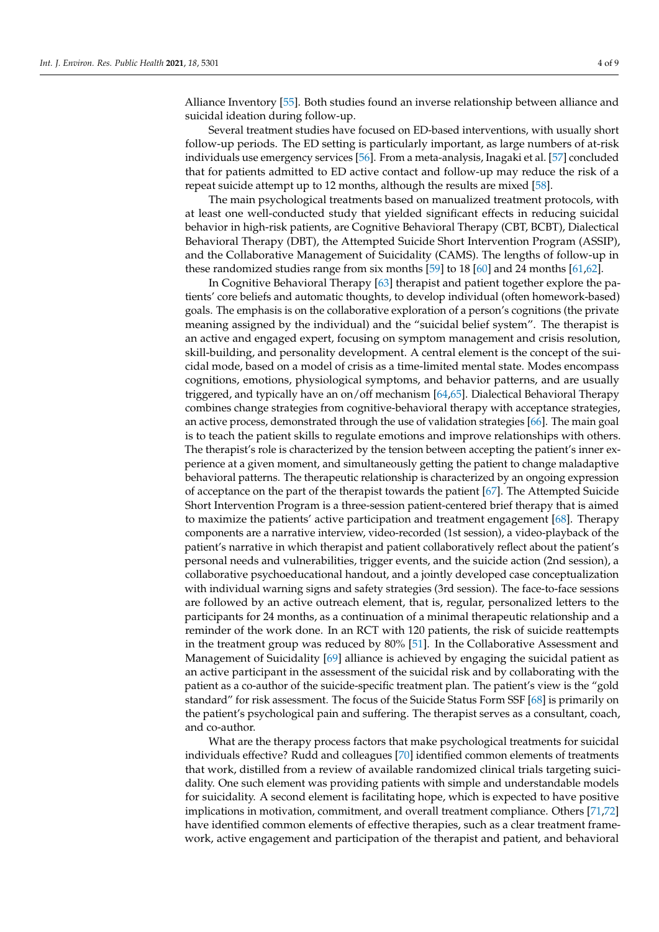Alliance Inventory [\[55\]](#page-7-5). Both studies found an inverse relationship between alliance and suicidal ideation during follow-up.

Several treatment studies have focused on ED-based interventions, with usually short follow-up periods. The ED setting is particularly important, as large numbers of at-risk individuals use emergency services [\[56\]](#page-7-6). From a meta-analysis, Inagaki et al. [\[57\]](#page-7-7) concluded that for patients admitted to ED active contact and follow-up may reduce the risk of a repeat suicide attempt up to 12 months, although the results are mixed [\[58\]](#page-7-8).

The main psychological treatments based on manualized treatment protocols, with at least one well-conducted study that yielded significant effects in reducing suicidal behavior in high-risk patients, are Cognitive Behavioral Therapy (CBT, BCBT), Dialectical Behavioral Therapy (DBT), the Attempted Suicide Short Intervention Program (ASSIP), and the Collaborative Management of Suicidality (CAMS). The lengths of follow-up in these randomized studies range from six months [\[59\]](#page-7-9) to 18 [\[60\]](#page-7-10) and 24 months [\[61](#page-7-11)[,62\]](#page-7-12).

In Cognitive Behavioral Therapy [\[63\]](#page-7-13) therapist and patient together explore the patients' core beliefs and automatic thoughts, to develop individual (often homework-based) goals. The emphasis is on the collaborative exploration of a person's cognitions (the private meaning assigned by the individual) and the "suicidal belief system". The therapist is an active and engaged expert, focusing on symptom management and crisis resolution, skill-building, and personality development. A central element is the concept of the suicidal mode, based on a model of crisis as a time-limited mental state. Modes encompass cognitions, emotions, physiological symptoms, and behavior patterns, and are usually triggered, and typically have an on/off mechanism [\[64,](#page-7-14)[65\]](#page-7-15). Dialectical Behavioral Therapy combines change strategies from cognitive-behavioral therapy with acceptance strategies, an active process, demonstrated through the use of validation strategies [\[66\]](#page-7-16). The main goal is to teach the patient skills to regulate emotions and improve relationships with others. The therapist's role is characterized by the tension between accepting the patient's inner experience at a given moment, and simultaneously getting the patient to change maladaptive behavioral patterns. The therapeutic relationship is characterized by an ongoing expression of acceptance on the part of the therapist towards the patient [\[67\]](#page-7-17). The Attempted Suicide Short Intervention Program is a three-session patient-centered brief therapy that is aimed to maximize the patients' active participation and treatment engagement [\[68\]](#page-7-18). Therapy components are a narrative interview, video-recorded (1st session), a video-playback of the patient's narrative in which therapist and patient collaboratively reflect about the patient's personal needs and vulnerabilities, trigger events, and the suicide action (2nd session), a collaborative psychoeducational handout, and a jointly developed case conceptualization with individual warning signs and safety strategies (3rd session). The face-to-face sessions are followed by an active outreach element, that is, regular, personalized letters to the participants for 24 months, as a continuation of a minimal therapeutic relationship and a reminder of the work done. In an RCT with 120 patients, the risk of suicide reattempts in the treatment group was reduced by 80% [\[51\]](#page-7-1). In the Collaborative Assessment and Management of Suicidality [\[69\]](#page-7-19) alliance is achieved by engaging the suicidal patient as an active participant in the assessment of the suicidal risk and by collaborating with the patient as a co-author of the suicide-specific treatment plan. The patient's view is the "gold standard" for risk assessment. The focus of the Suicide Status Form SSF [\[68\]](#page-7-18) is primarily on the patient's psychological pain and suffering. The therapist serves as a consultant, coach, and co-author.

What are the therapy process factors that make psychological treatments for suicidal individuals effective? Rudd and colleagues [\[70\]](#page-7-20) identified common elements of treatments that work, distilled from a review of available randomized clinical trials targeting suicidality. One such element was providing patients with simple and understandable models for suicidality. A second element is facilitating hope, which is expected to have positive implications in motivation, commitment, and overall treatment compliance. Others [\[71,](#page-7-21)[72\]](#page-7-22) have identified common elements of effective therapies, such as a clear treatment framework, active engagement and participation of the therapist and patient, and behavioral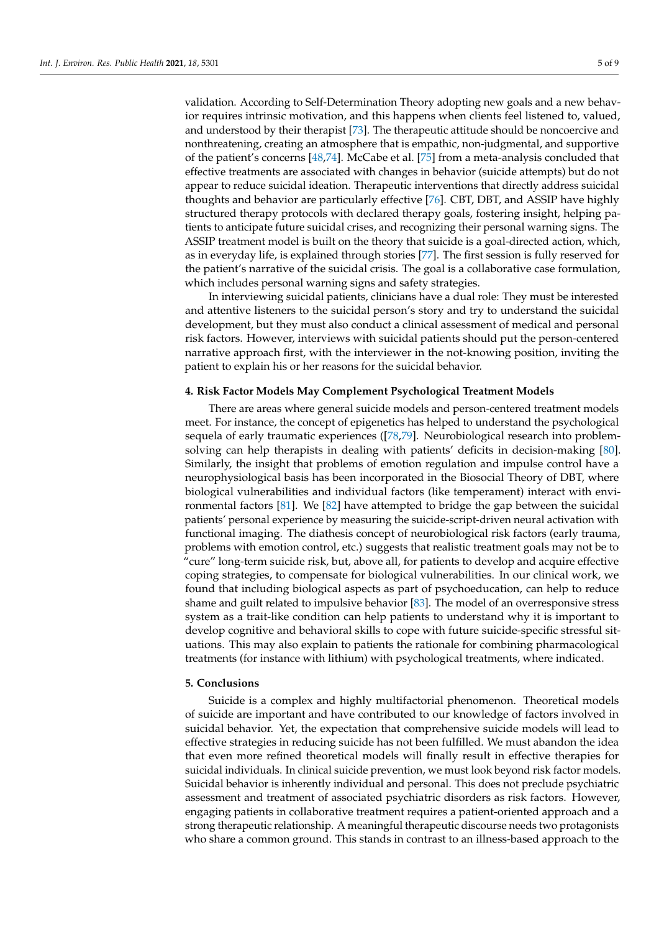validation. According to Self-Determination Theory adopting new goals and a new behavior requires intrinsic motivation, and this happens when clients feel listened to, valued, and understood by their therapist [\[73\]](#page-7-23). The therapeutic attitude should be noncoercive and nonthreatening, creating an atmosphere that is empathic, non-judgmental, and supportive of the patient's concerns [\[48,](#page-6-23)[74\]](#page-7-24). McCabe et al. [\[75\]](#page-7-25) from a meta-analysis concluded that effective treatments are associated with changes in behavior (suicide attempts) but do not appear to reduce suicidal ideation. Therapeutic interventions that directly address suicidal thoughts and behavior are particularly effective [\[76\]](#page-7-26). CBT, DBT, and ASSIP have highly structured therapy protocols with declared therapy goals, fostering insight, helping patients to anticipate future suicidal crises, and recognizing their personal warning signs. The ASSIP treatment model is built on the theory that suicide is a goal-directed action, which, as in everyday life, is explained through stories [\[77\]](#page-8-0). The first session is fully reserved for the patient's narrative of the suicidal crisis. The goal is a collaborative case formulation, which includes personal warning signs and safety strategies.

In interviewing suicidal patients, clinicians have a dual role: They must be interested and attentive listeners to the suicidal person's story and try to understand the suicidal development, but they must also conduct a clinical assessment of medical and personal risk factors. However, interviews with suicidal patients should put the person-centered narrative approach first, with the interviewer in the not-knowing position, inviting the patient to explain his or her reasons for the suicidal behavior.

#### **4. Risk Factor Models May Complement Psychological Treatment Models**

There are areas where general suicide models and person-centered treatment models meet. For instance, the concept of epigenetics has helped to understand the psychological sequela of early traumatic experiences ([\[78,](#page-8-1)[79\]](#page-8-2). Neurobiological research into problemsolving can help therapists in dealing with patients' deficits in decision-making [\[80\]](#page-8-3). Similarly, the insight that problems of emotion regulation and impulse control have a neurophysiological basis has been incorporated in the Biosocial Theory of DBT, where biological vulnerabilities and individual factors (like temperament) interact with environmental factors [\[81\]](#page-8-4). We [\[82\]](#page-8-5) have attempted to bridge the gap between the suicidal patients' personal experience by measuring the suicide-script-driven neural activation with functional imaging. The diathesis concept of neurobiological risk factors (early trauma, problems with emotion control, etc.) suggests that realistic treatment goals may not be to "cure" long-term suicide risk, but, above all, for patients to develop and acquire effective coping strategies, to compensate for biological vulnerabilities. In our clinical work, we found that including biological aspects as part of psychoeducation, can help to reduce shame and guilt related to impulsive behavior [\[83\]](#page-8-6). The model of an overresponsive stress system as a trait-like condition can help patients to understand why it is important to develop cognitive and behavioral skills to cope with future suicide-specific stressful situations. This may also explain to patients the rationale for combining pharmacological treatments (for instance with lithium) with psychological treatments, where indicated.

### **5. Conclusions**

Suicide is a complex and highly multifactorial phenomenon. Theoretical models of suicide are important and have contributed to our knowledge of factors involved in suicidal behavior. Yet, the expectation that comprehensive suicide models will lead to effective strategies in reducing suicide has not been fulfilled. We must abandon the idea that even more refined theoretical models will finally result in effective therapies for suicidal individuals. In clinical suicide prevention, we must look beyond risk factor models. Suicidal behavior is inherently individual and personal. This does not preclude psychiatric assessment and treatment of associated psychiatric disorders as risk factors. However, engaging patients in collaborative treatment requires a patient-oriented approach and a strong therapeutic relationship. A meaningful therapeutic discourse needs two protagonists who share a common ground. This stands in contrast to an illness-based approach to the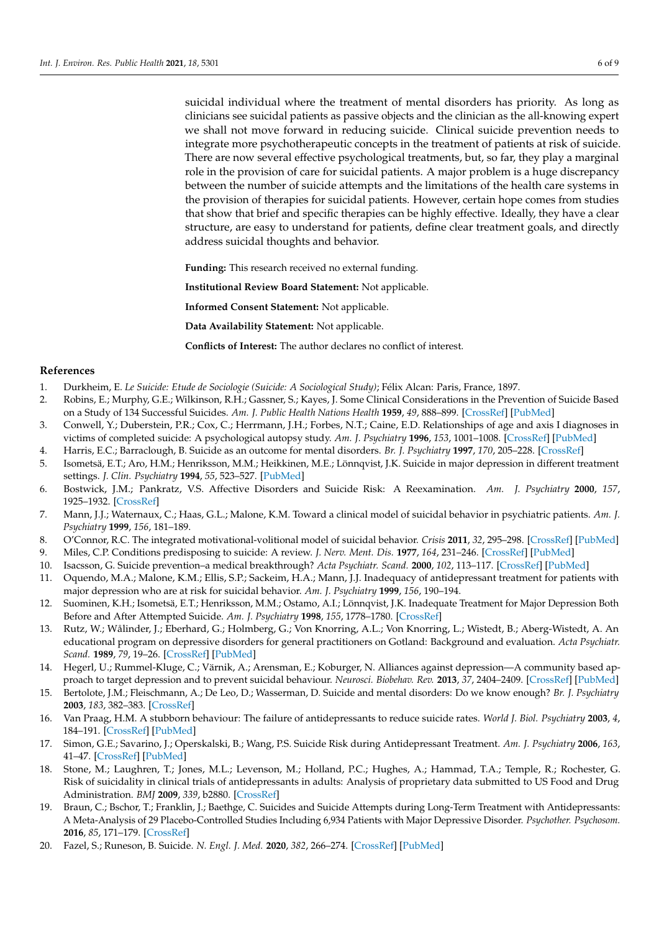suicidal individual where the treatment of mental disorders has priority. As long as clinicians see suicidal patients as passive objects and the clinician as the all-knowing expert we shall not move forward in reducing suicide. Clinical suicide prevention needs to integrate more psychotherapeutic concepts in the treatment of patients at risk of suicide. There are now several effective psychological treatments, but, so far, they play a marginal role in the provision of care for suicidal patients. A major problem is a huge discrepancy between the number of suicide attempts and the limitations of the health care systems in the provision of therapies for suicidal patients. However, certain hope comes from studies that show that brief and specific therapies can be highly effective. Ideally, they have a clear structure, are easy to understand for patients, define clear treatment goals, and directly address suicidal thoughts and behavior.

**Funding:** This research received no external funding.

**Institutional Review Board Statement:** Not applicable.

**Informed Consent Statement:** Not applicable.

**Data Availability Statement:** Not applicable.

**Conflicts of Interest:** The author declares no conflict of interest.

#### **References**

- <span id="page-5-0"></span>1. Durkheim, E. *Le Suicide: Etude de Sociologie (Suicide: A Sociological Study)*; Félix Alcan: Paris, France, 1897.
- <span id="page-5-1"></span>2. Robins, E.; Murphy, G.E.; Wilkinson, R.H.; Gassner, S.; Kayes, J. Some Clinical Considerations in the Prevention of Suicide Based on a Study of 134 Successful Suicides. *Am. J. Public Health Nations Health* **1959**, *49*, 888–899. [\[CrossRef\]](http://doi.org/10.2105/AJPH.49.7.888) [\[PubMed\]](http://www.ncbi.nlm.nih.gov/pubmed/13661481)
- <span id="page-5-2"></span>3. Conwell, Y.; Duberstein, P.R.; Cox, C.; Herrmann, J.H.; Forbes, N.T.; Caine, E.D. Relationships of age and axis I diagnoses in victims of completed suicide: A psychological autopsy study. *Am. J. Psychiatry* **1996**, *153*, 1001–1008. [\[CrossRef\]](http://doi.org/10.1176/ajp.153.8.1001) [\[PubMed\]](http://www.ncbi.nlm.nih.gov/pubmed/8678167)
- <span id="page-5-3"></span>4. Harris, E.C.; Barraclough, B. Suicide as an outcome for mental disorders. *Br. J. Psychiatry* **1997**, *170*, 205–228. [\[CrossRef\]](http://doi.org/10.1192/bjp.170.3.205)
- <span id="page-5-4"></span>5. Isometsä, E.T.; Aro, H.M.; Henriksson, M.M.; Heikkinen, M.E.; Lönnqvist, J.K. Suicide in major depression in different treatment settings. *J. Clin. Psychiatry* **1994**, *55*, 523–527. [\[PubMed\]](http://www.ncbi.nlm.nih.gov/pubmed/7814345)
- <span id="page-5-5"></span>6. Bostwick, J.M.; Pankratz, V.S. Affective Disorders and Suicide Risk: A Reexamination. *Am. J. Psychiatry* **2000**, *157*, 1925–1932. [\[CrossRef\]](http://doi.org/10.1176/appi.ajp.157.12.1925)
- <span id="page-5-6"></span>7. Mann, J.J.; Waternaux, C.; Haas, G.L.; Malone, K.M. Toward a clinical model of suicidal behavior in psychiatric patients. *Am. J. Psychiatry* **1999**, *156*, 181–189.
- <span id="page-5-7"></span>8. O'Connor, R.C. The integrated motivational-volitional model of suicidal behavior. *Crisis* **2011**, *32*, 295–298. [\[CrossRef\]](http://doi.org/10.1027/0227-5910/a000120) [\[PubMed\]](http://www.ncbi.nlm.nih.gov/pubmed/21945841)
- <span id="page-5-8"></span>9. Miles, C.P. Conditions predisposing to suicide: A review. *J. Nerv. Ment. Dis.* **1977**, *164*, 231–246. [\[CrossRef\]](http://doi.org/10.1097/00005053-197704000-00002) [\[PubMed\]](http://www.ncbi.nlm.nih.gov/pubmed/321725)
- <span id="page-5-9"></span>10. Isacsson, G. Suicide prevention–a medical breakthrough? *Acta Psychiatr. Scand.* **2000**, *102*, 113–117. [\[CrossRef\]](http://doi.org/10.1034/j.1600-0447.2000.102002113.x) [\[PubMed\]](http://www.ncbi.nlm.nih.gov/pubmed/10937783)
- <span id="page-5-10"></span>11. Oquendo, M.A.; Malone, K.M.; Ellis, S.P.; Sackeim, H.A.; Mann, J.J. Inadequacy of antidepressant treatment for patients with major depression who are at risk for suicidal behavior. *Am. J. Psychiatry* **1999**, *156*, 190–194.
- <span id="page-5-11"></span>12. Suominen, K.H.; Isometsä, E.T.; Henriksson, M.M.; Ostamo, A.I.; Lönnqvist, J.K. Inadequate Treatment for Major Depression Both Before and After Attempted Suicide. *Am. J. Psychiatry* **1998**, *155*, 1778–1780. [\[CrossRef\]](http://doi.org/10.1176/ajp.155.12.1778)
- <span id="page-5-12"></span>13. Rutz, W.; Wålinder, J.; Eberhard, G.; Holmberg, G.; Von Knorring, A.L.; Von Knorring, L.; Wistedt, B.; Aberg-Wistedt, A. An educational program on depressive disorders for general practitioners on Gotland: Background and evaluation. *Acta Psychiatr. Scand.* **1989**, *79*, 19–26. [\[CrossRef\]](http://doi.org/10.1111/j.1600-0447.1989.tb09229.x) [\[PubMed\]](http://www.ncbi.nlm.nih.gov/pubmed/2929381)
- <span id="page-5-13"></span>14. Hegerl, U.; Rummel-Kluge, C.; Värnik, A.; Arensman, E.; Koburger, N. Alliances against depression—A community based approach to target depression and to prevent suicidal behaviour. *Neurosci. Biobehav. Rev.* **2013**, *37*, 2404–2409. [\[CrossRef\]](http://doi.org/10.1016/j.neubiorev.2013.02.009) [\[PubMed\]](http://www.ncbi.nlm.nih.gov/pubmed/23438891)
- <span id="page-5-14"></span>15. Bertolote, J.M.; Fleischmann, A.; De Leo, D.; Wasserman, D. Suicide and mental disorders: Do we know enough? *Br. J. Psychiatry* **2003**, *183*, 382–383. [\[CrossRef\]](http://doi.org/10.1192/bjp.183.5.382)
- <span id="page-5-15"></span>16. Van Praag, H.M. A stubborn behaviour: The failure of antidepressants to reduce suicide rates. *World J. Biol. Psychiatry* **2003**, *4*, 184–191. [\[CrossRef\]](http://doi.org/10.1080/15622970310029917) [\[PubMed\]](http://www.ncbi.nlm.nih.gov/pubmed/14608590)
- 17. Simon, G.E.; Savarino, J.; Operskalski, B.; Wang, P.S. Suicide Risk during Antidepressant Treatment. *Am. J. Psychiatry* **2006**, *163*, 41–47. [\[CrossRef\]](http://doi.org/10.1176/appi.ajp.163.1.41) [\[PubMed\]](http://www.ncbi.nlm.nih.gov/pubmed/16390887)
- 18. Stone, M.; Laughren, T.; Jones, M.L.; Levenson, M.; Holland, P.C.; Hughes, A.; Hammad, T.A.; Temple, R.; Rochester, G. Risk of suicidality in clinical trials of antidepressants in adults: Analysis of proprietary data submitted to US Food and Drug Administration. *BMJ* **2009**, *339*, b2880. [\[CrossRef\]](http://doi.org/10.1136/bmj.b2880)
- <span id="page-5-16"></span>19. Braun, C.; Bschor, T.; Franklin, J.; Baethge, C. Suicides and Suicide Attempts during Long-Term Treatment with Antidepressants: A Meta-Analysis of 29 Placebo-Controlled Studies Including 6,934 Patients with Major Depressive Disorder. *Psychother. Psychosom.* **2016**, *85*, 171–179. [\[CrossRef\]](http://doi.org/10.1159/000442293)
- <span id="page-5-17"></span>20. Fazel, S.; Runeson, B. Suicide. *N. Engl. J. Med.* **2020**, *382*, 266–274. [\[CrossRef\]](http://doi.org/10.1056/NEJMra1902944) [\[PubMed\]](http://www.ncbi.nlm.nih.gov/pubmed/31940700)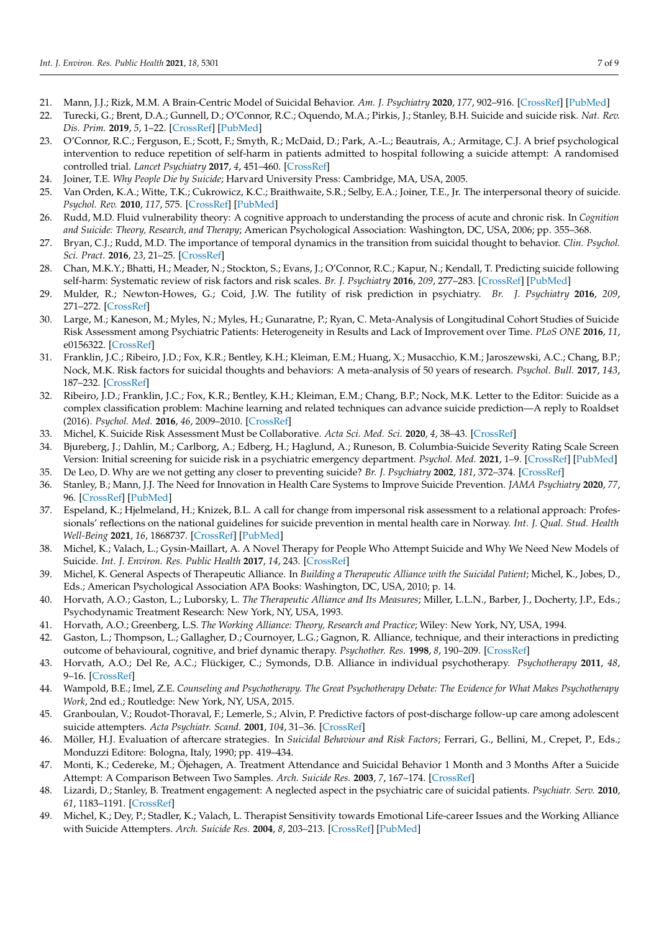- <span id="page-6-0"></span>21. Mann, J.J.; Rizk, M.M. A Brain-Centric Model of Suicidal Behavior. *Am. J. Psychiatry* **2020**, *177*, 902–916. [\[CrossRef\]](http://doi.org/10.1176/appi.ajp.2020.20081224) [\[PubMed\]](http://www.ncbi.nlm.nih.gov/pubmed/32998550)
- <span id="page-6-1"></span>22. Turecki, G.; Brent, D.A.; Gunnell, D.; O'Connor, R.C.; Oquendo, M.A.; Pirkis, J.; Stanley, B.H. Suicide and suicide risk. *Nat. Rev. Dis. Prim.* **2019**, *5*, 1–22. [\[CrossRef\]](http://doi.org/10.1038/s41572-019-0121-0) [\[PubMed\]](http://www.ncbi.nlm.nih.gov/pubmed/31649257)
- <span id="page-6-2"></span>23. O'Connor, R.C.; Ferguson, E.; Scott, F.; Smyth, R.; McDaid, D.; Park, A.-L.; Beautrais, A.; Armitage, C.J. A brief psychological intervention to reduce repetition of self-harm in patients admitted to hospital following a suicide attempt: A randomised controlled trial. *Lancet Psychiatry* **2017**, *4*, 451–460. [\[CrossRef\]](http://doi.org/10.1016/S2215-0366(17)30129-3)
- <span id="page-6-3"></span>24. Joiner, T.E. *Why People Die by Suicide*; Harvard University Press: Cambridge, MA, USA, 2005.
- <span id="page-6-4"></span>25. Van Orden, K.A.; Witte, T.K.; Cukrowicz, K.C.; Braithwaite, S.R.; Selby, E.A.; Joiner, T.E., Jr. The interpersonal theory of suicide. *Psychol. Rev.* **2010**, *117*, 575. [\[CrossRef\]](http://doi.org/10.1037/a0018697) [\[PubMed\]](http://www.ncbi.nlm.nih.gov/pubmed/20438238)
- <span id="page-6-5"></span>26. Rudd, M.D. Fluid vulnerability theory: A cognitive approach to understanding the process of acute and chronic risk. In *Cognition and Suicide: Theory, Research, and Therapy*; American Psychological Association: Washington, DC, USA, 2006; pp. 355–368.
- <span id="page-6-6"></span>27. Bryan, C.J.; Rudd, M.D. The importance of temporal dynamics in the transition from suicidal thought to behavior. *Clin. Psychol. Sci. Pract.* **2016**, *23*, 21–25. [\[CrossRef\]](http://doi.org/10.1111/cpsp.12135)
- <span id="page-6-7"></span>28. Chan, M.K.Y.; Bhatti, H.; Meader, N.; Stockton, S.; Evans, J.; O'Connor, R.C.; Kapur, N.; Kendall, T. Predicting suicide following self-harm: Systematic review of risk factors and risk scales. *Br. J. Psychiatry* **2016**, *209*, 277–283. [\[CrossRef\]](http://doi.org/10.1192/bjp.bp.115.170050) [\[PubMed\]](http://www.ncbi.nlm.nih.gov/pubmed/27340111)
- <span id="page-6-8"></span>29. Mulder, R.; Newton-Howes, G.; Coid, J.W. The futility of risk prediction in psychiatry. *Br. J. Psychiatry* **2016**, *209*, 271–272. [\[CrossRef\]](http://doi.org/10.1192/bjp.bp.116.184960)
- <span id="page-6-9"></span>30. Large, M.; Kaneson, M.; Myles, N.; Myles, H.; Gunaratne, P.; Ryan, C. Meta-Analysis of Longitudinal Cohort Studies of Suicide Risk Assessment among Psychiatric Patients: Heterogeneity in Results and Lack of Improvement over Time. *PLoS ONE* **2016**, *11*, e0156322. [\[CrossRef\]](http://doi.org/10.1371/journal.pone.0156322)
- <span id="page-6-10"></span>31. Franklin, J.C.; Ribeiro, J.D.; Fox, K.R.; Bentley, K.H.; Kleiman, E.M.; Huang, X.; Musacchio, K.M.; Jaroszewski, A.C.; Chang, B.P.; Nock, M.K. Risk factors for suicidal thoughts and behaviors: A meta-analysis of 50 years of research. *Psychol. Bull.* **2017**, *143*, 187–232. [\[CrossRef\]](http://doi.org/10.1037/bul0000084)
- <span id="page-6-11"></span>32. Ribeiro, J.D.; Franklin, J.C.; Fox, K.R.; Bentley, K.H.; Kleiman, E.M.; Chang, B.P.; Nock, M.K. Letter to the Editor: Suicide as a complex classification problem: Machine learning and related techniques can advance suicide prediction—A reply to Roaldset (2016). *Psychol. Med.* **2016**, *46*, 2009–2010. [\[CrossRef\]](http://doi.org/10.1017/S0033291716000611)
- <span id="page-6-12"></span>33. Michel, K. Suicide Risk Assessment Must be Collaborative. *Acta Sci. Med. Sci.* **2020**, *4*, 38–43. [\[CrossRef\]](http://doi.org/10.31080/asms.2020.04.0793)
- <span id="page-6-13"></span>34. Bjureberg, J.; Dahlin, M.; Carlborg, A.; Edberg, H.; Haglund, A.; Runeson, B. Columbia-Suicide Severity Rating Scale Screen Version: Initial screening for suicide risk in a psychiatric emergency department. *Psychol. Med.* **2021**, 1–9. [\[CrossRef\]](http://doi.org/10.1017/S0033291721000751) [\[PubMed\]](http://www.ncbi.nlm.nih.gov/pubmed/33766155)
- <span id="page-6-14"></span>35. De Leo, D. Why are we not getting any closer to preventing suicide? *Br. J. Psychiatry* **2002**, *181*, 372–374. [\[CrossRef\]](http://doi.org/10.1192/bjp.181.5.372)
- 36. Stanley, B.; Mann, J.J. The Need for Innovation in Health Care Systems to Improve Suicide Prevention. *JAMA Psychiatry* **2020**, *77*, 96. [\[CrossRef\]](http://doi.org/10.1001/jamapsychiatry.2019.2769) [\[PubMed\]](http://www.ncbi.nlm.nih.gov/pubmed/31577340)
- 37. Espeland, K.; Hjelmeland, H.; Knizek, B.L. A call for change from impersonal risk assessment to a relational approach: Professionals' reflections on the national guidelines for suicide prevention in mental health care in Norway. *Int. J. Qual. Stud. Health Well-Being* **2021**, *16*, 1868737. [\[CrossRef\]](http://doi.org/10.1080/17482631.2020.1868737) [\[PubMed\]](http://www.ncbi.nlm.nih.gov/pubmed/33407039)
- <span id="page-6-15"></span>38. Michel, K.; Valach, L.; Gysin-Maillart, A. A Novel Therapy for People Who Attempt Suicide and Why We Need New Models of Suicide. *Int. J. Environ. Res. Public Health* **2017**, *14*, 243. [\[CrossRef\]](http://doi.org/10.3390/ijerph14030243)
- <span id="page-6-16"></span>39. Michel, K. General Aspects of Therapeutic Alliance. In *Building a Therapeutic Alliance with the Suicidal Patient*; Michel, K., Jobes, D., Eds.; American Psychological Association APA Books: Washington, DC, USA, 2010; p. 14.
- <span id="page-6-17"></span>40. Horvath, A.O.; Gaston, L.; Luborsky, L. *The Therapeutic Alliance and Its Measures*; Miller, L.L.N., Barber, J., Docherty, J.P., Eds.; Psychodynamic Treatment Research: New York, NY, USA, 1993.
- 41. Horvath, A.O.; Greenberg, L.S. *The Working Alliance: Theory, Research and Practice*; Wiley: New York, NY, USA, 1994.
- <span id="page-6-18"></span>42. Gaston, L.; Thompson, L.; Gallagher, D.; Cournoyer, L.G.; Gagnon, R. Alliance, technique, and their interactions in predicting outcome of behavioural, cognitive, and brief dynamic therapy. *Psychother. Res.* **1998**, *8*, 190–209. [\[CrossRef\]](http://doi.org/10.1093/ptr/8.2.190)
- <span id="page-6-19"></span>43. Horvath, A.O.; Del Re, A.C.; Flückiger, C.; Symonds, D.B. Alliance in individual psychotherapy. *Psychotherapy* **2011**, *48*, 9–16. [\[CrossRef\]](http://doi.org/10.1037/a0022186)
- <span id="page-6-20"></span>44. Wampold, B.E.; Imel, Z.E. *Counseling and Psychotherapy. The Great Psychotherapy Debate: The Evidence for What Makes Psychotherapy Work*, 2nd ed.; Routledge: New York, NY, USA, 2015.
- <span id="page-6-21"></span>45. Granboulan, V.; Roudot-Thoraval, F.; Lemerle, S.; Alvin, P. Predictive factors of post-discharge follow-up care among adolescent suicide attempters. *Acta Psychiatr. Scand.* **2001**, *104*, 31–36. [\[CrossRef\]](http://doi.org/10.1034/j.1600-0447.2001.00297.x)
- 46. Möller, H.J. Evaluation of aftercare strategies. In *Suicidal Behaviour and Risk Factors*; Ferrari, G., Bellini, M., Crepet, P., Eds.; Monduzzi Editore: Bologna, Italy, 1990; pp. 419–434.
- <span id="page-6-22"></span>47. Monti, K.; Cedereke, M.; Öjehagen, A. Treatment Attendance and Suicidal Behavior 1 Month and 3 Months After a Suicide Attempt: A Comparison Between Two Samples. *Arch. Suicide Res.* **2003**, *7*, 167–174. [\[CrossRef\]](http://doi.org/10.1080/13811110301581)
- <span id="page-6-23"></span>48. Lizardi, D.; Stanley, B. Treatment engagement: A neglected aspect in the psychiatric care of suicidal patients. *Psychiatr. Serv.* **2010**, *61*, 1183–1191. [\[CrossRef\]](http://doi.org/10.1176/ps.2010.61.12.1183)
- <span id="page-6-24"></span>49. Michel, K.; Dey, P.; Stadler, K.; Valach, L. Therapist Sensitivity towards Emotional Life-career Issues and the Working Alliance with Suicide Attempters. *Arch. Suicide Res.* **2004**, *8*, 203–213. [\[CrossRef\]](http://doi.org/10.1080/13811110490436792) [\[PubMed\]](http://www.ncbi.nlm.nih.gov/pubmed/16081387)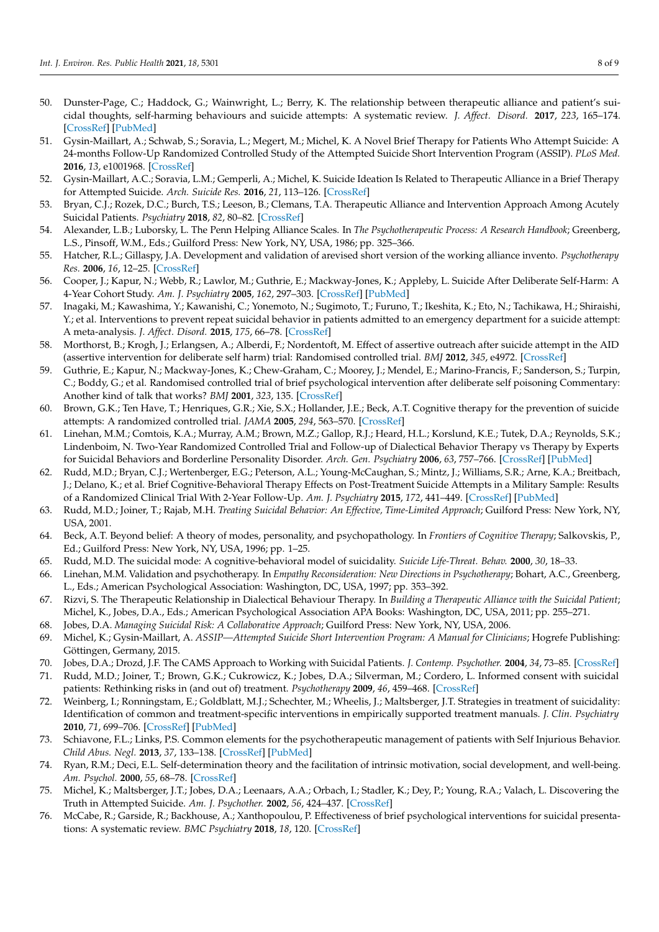- <span id="page-7-0"></span>50. Dunster-Page, C.; Haddock, G.; Wainwright, L.; Berry, K. The relationship between therapeutic alliance and patient's suicidal thoughts, self-harming behaviours and suicide attempts: A systematic review. *J. Affect. Disord.* **2017**, *223*, 165–174. [\[CrossRef\]](http://doi.org/10.1016/j.jad.2017.07.040) [\[PubMed\]](http://www.ncbi.nlm.nih.gov/pubmed/28755624)
- <span id="page-7-1"></span>51. Gysin-Maillart, A.; Schwab, S.; Soravia, L.; Megert, M.; Michel, K. A Novel Brief Therapy for Patients Who Attempt Suicide: A 24-months Follow-Up Randomized Controlled Study of the Attempted Suicide Short Intervention Program (ASSIP). *PLoS Med.* **2016**, *13*, e1001968. [\[CrossRef\]](http://doi.org/10.1371/journal.pmed.1001968)
- <span id="page-7-2"></span>52. Gysin-Maillart, A.C.; Soravia, L.M.; Gemperli, A.; Michel, K. Suicide Ideation Is Related to Therapeutic Alliance in a Brief Therapy for Attempted Suicide. *Arch. Suicide Res.* **2016**, *21*, 113–126. [\[CrossRef\]](http://doi.org/10.1080/13811118.2016.1162242)
- <span id="page-7-3"></span>53. Bryan, C.J.; Rozek, D.C.; Burch, T.S.; Leeson, B.; Clemans, T.A. Therapeutic Alliance and Intervention Approach Among Acutely Suicidal Patients. *Psychiatry* **2018**, *82*, 80–82. [\[CrossRef\]](http://doi.org/10.1080/00332747.2018.1485371)
- <span id="page-7-4"></span>54. Alexander, L.B.; Luborsky, L. The Penn Helping Alliance Scales. In *The Psychotherapeutic Process: A Research Handbook*; Greenberg, L.S., Pinsoff, W.M., Eds.; Guilford Press: New York, NY, USA, 1986; pp. 325–366.
- <span id="page-7-5"></span>55. Hatcher, R.L.; Gillaspy, J.A. Development and validation of arevised short version of the working alliance invento. *Psychotherapy Res.* **2006**, *16*, 12–25. [\[CrossRef\]](http://doi.org/10.1080/10503300500352500)
- <span id="page-7-6"></span>56. Cooper, J.; Kapur, N.; Webb, R.; Lawlor, M.; Guthrie, E.; Mackway-Jones, K.; Appleby, L. Suicide After Deliberate Self-Harm: A 4-Year Cohort Study. *Am. J. Psychiatry* **2005**, *162*, 297–303. [\[CrossRef\]](http://doi.org/10.1176/appi.ajp.162.2.297) [\[PubMed\]](http://www.ncbi.nlm.nih.gov/pubmed/15677594)
- <span id="page-7-7"></span>57. Inagaki, M.; Kawashima, Y.; Kawanishi, C.; Yonemoto, N.; Sugimoto, T.; Furuno, T.; Ikeshita, K.; Eto, N.; Tachikawa, H.; Shiraishi, Y.; et al. Interventions to prevent repeat suicidal behavior in patients admitted to an emergency department for a suicide attempt: A meta-analysis. *J. Affect. Disord.* **2015**, *175*, 66–78. [\[CrossRef\]](http://doi.org/10.1016/j.jad.2014.12.048)
- <span id="page-7-8"></span>58. Morthorst, B.; Krogh, J.; Erlangsen, A.; Alberdi, F.; Nordentoft, M. Effect of assertive outreach after suicide attempt in the AID (assertive intervention for deliberate self harm) trial: Randomised controlled trial. *BMJ* **2012**, *345*, e4972. [\[CrossRef\]](http://doi.org/10.1136/bmj.e4972)
- <span id="page-7-9"></span>59. Guthrie, E.; Kapur, N.; Mackway-Jones, K.; Chew-Graham, C.; Moorey, J.; Mendel, E.; Marino-Francis, F.; Sanderson, S.; Turpin, C.; Boddy, G.; et al. Randomised controlled trial of brief psychological intervention after deliberate self poisoning Commentary: Another kind of talk that works? *BMJ* **2001**, *323*, 135. [\[CrossRef\]](http://doi.org/10.1136/bmj.323.7305.135)
- <span id="page-7-10"></span>60. Brown, G.K.; Ten Have, T.; Henriques, G.R.; Xie, S.X.; Hollander, J.E.; Beck, A.T. Cognitive therapy for the prevention of suicide attempts: A randomized controlled trial. *JAMA* **2005**, *294*, 563–570. [\[CrossRef\]](http://doi.org/10.1001/jama.294.5.563)
- <span id="page-7-11"></span>61. Linehan, M.M.; Comtois, K.A.; Murray, A.M.; Brown, M.Z.; Gallop, R.J.; Heard, H.L.; Korslund, K.E.; Tutek, D.A.; Reynolds, S.K.; Lindenboim, N. Two-Year Randomized Controlled Trial and Follow-up of Dialectical Behavior Therapy vs Therapy by Experts for Suicidal Behaviors and Borderline Personality Disorder. *Arch. Gen. Psychiatry* **2006**, *63*, 757–766. [\[CrossRef\]](http://doi.org/10.1001/archpsyc.63.7.757) [\[PubMed\]](http://www.ncbi.nlm.nih.gov/pubmed/16818865)
- <span id="page-7-12"></span>62. Rudd, M.D.; Bryan, C.J.; Wertenberger, E.G.; Peterson, A.L.; Young-McCaughan, S.; Mintz, J.; Williams, S.R.; Arne, K.A.; Breitbach, J.; Delano, K.; et al. Brief Cognitive-Behavioral Therapy Effects on Post-Treatment Suicide Attempts in a Military Sample: Results of a Randomized Clinical Trial With 2-Year Follow-Up. *Am. J. Psychiatry* **2015**, *172*, 441–449. [\[CrossRef\]](http://doi.org/10.1176/appi.ajp.2014.14070843) [\[PubMed\]](http://www.ncbi.nlm.nih.gov/pubmed/25677353)
- <span id="page-7-13"></span>63. Rudd, M.D.; Joiner, T.; Rajab, M.H. *Treating Suicidal Behavior: An Effective, Time-Limited Approach*; Guilford Press: New York, NY, USA, 2001.
- <span id="page-7-14"></span>64. Beck, A.T. Beyond belief: A theory of modes, personality, and psychopathology. In *Frontiers of Cognitive Therapy*; Salkovskis, P., Ed.; Guilford Press: New York, NY, USA, 1996; pp. 1–25.
- <span id="page-7-15"></span>65. Rudd, M.D. The suicidal mode: A cognitive-behavioral model of suicidality. *Suicide Life-Threat. Behav.* **2000**, *30*, 18–33.
- <span id="page-7-16"></span>66. Linehan, M.M. Validation and psychotherapy. In *Empathy Reconsideration: New Directions in Psychotherapy*; Bohart, A.C., Greenberg, L., Eds.; American Psychological Association: Washington, DC, USA, 1997; pp. 353–392.
- <span id="page-7-17"></span>67. Rizvi, S. The Therapeutic Relationship in Dialectical Behaviour Therapy. In *Building a Therapeutic Alliance with the Suicidal Patient*; Michel, K., Jobes, D.A., Eds.; American Psychological Association APA Books: Washington, DC, USA, 2011; pp. 255–271.
- <span id="page-7-18"></span>68. Jobes, D.A. *Managing Suicidal Risk: A Collaborative Approach*; Guilford Press: New York, NY, USA, 2006.
- <span id="page-7-19"></span>69. Michel, K.; Gysin-Maillart, A. *ASSIP—Attempted Suicide Short Intervention Program: A Manual for Clinicians*; Hogrefe Publishing: Göttingen, Germany, 2015.
- <span id="page-7-20"></span>70. Jobes, D.A.; Drozd, J.F. The CAMS Approach to Working with Suicidal Patients. *J. Contemp. Psychother.* **2004**, *34*, 73–85. [\[CrossRef\]](http://doi.org/10.1023/B:JOCP.0000010914.98781.6a)
- <span id="page-7-21"></span>71. Rudd, M.D.; Joiner, T.; Brown, G.K.; Cukrowicz, K.; Jobes, D.A.; Silverman, M.; Cordero, L. Informed consent with suicidal patients: Rethinking risks in (and out of) treatment. *Psychotherapy* **2009**, *46*, 459–468. [\[CrossRef\]](http://doi.org/10.1037/a0017902)
- <span id="page-7-22"></span>72. Weinberg, I.; Ronningstam, E.; Goldblatt, M.J.; Schechter, M.; Wheelis, J.; Maltsberger, J.T. Strategies in treatment of suicidality: Identification of common and treatment-specific interventions in empirically supported treatment manuals. *J. Clin. Psychiatry* **2010**, *71*, 699–706. [\[CrossRef\]](http://doi.org/10.4088/JCP.08m04840blu) [\[PubMed\]](http://www.ncbi.nlm.nih.gov/pubmed/20573329)
- <span id="page-7-23"></span>73. Schiavone, F.L.; Links, P.S. Common elements for the psychotherapeutic management of patients with Self Injurious Behavior. *Child Abus. Negl.* **2013**, *37*, 133–138. [\[CrossRef\]](http://doi.org/10.1016/j.chiabu.2012.09.012) [\[PubMed\]](http://www.ncbi.nlm.nih.gov/pubmed/23260120)
- <span id="page-7-24"></span>74. Ryan, R.M.; Deci, E.L. Self-determination theory and the facilitation of intrinsic motivation, social development, and well-being. *Am. Psychol.* **2000**, *55*, 68–78. [\[CrossRef\]](http://doi.org/10.1037/0003-066X.55.1.68)
- <span id="page-7-25"></span>75. Michel, K.; Maltsberger, J.T.; Jobes, D.A.; Leenaars, A.A.; Orbach, I.; Stadler, K.; Dey, P.; Young, R.A.; Valach, L. Discovering the Truth in Attempted Suicide. *Am. J. Psychother.* **2002**, *56*, 424–437. [\[CrossRef\]](http://doi.org/10.1176/appi.psychotherapy.2002.56.3.424)
- <span id="page-7-26"></span>76. McCabe, R.; Garside, R.; Backhouse, A.; Xanthopoulou, P. Effectiveness of brief psychological interventions for suicidal presentations: A systematic review. *BMC Psychiatry* **2018**, *18*, 120. [\[CrossRef\]](http://doi.org/10.1186/s12888-018-1663-5)